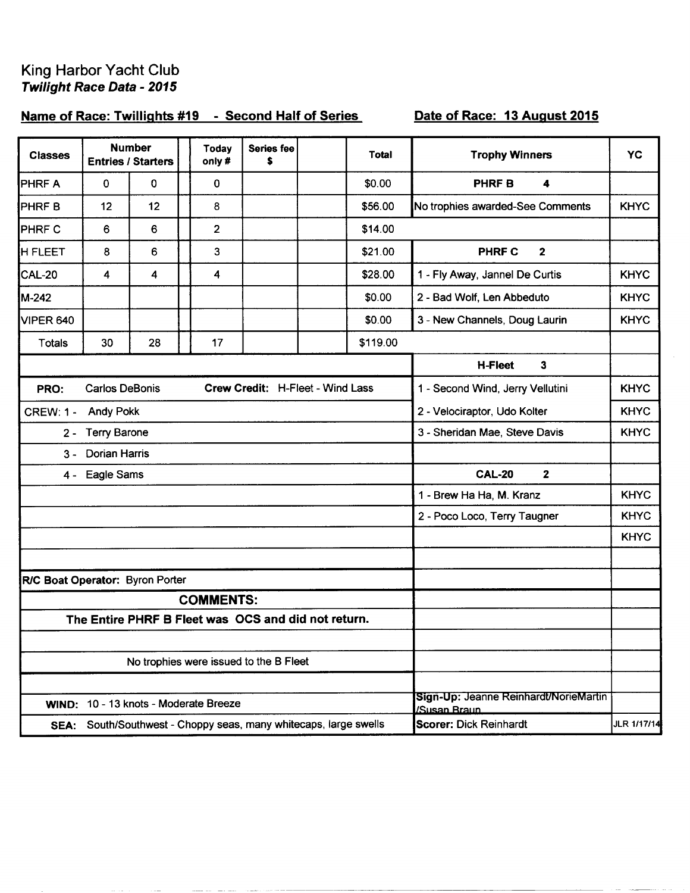## King Harbor Yacht Club<br>Twilight Race Data - 2015

## Name of Race: Twillights #19 - Second Half of Series

## Date of Race: 13 August 2015

| <b>Classes</b>                  |                       | <b>Number</b><br><b>Entries / Starters</b> | <b>Today</b><br>only #                                           | <b>Series fee</b><br>\$          | <b>Total</b> | <b>Trophy Winners</b>                 | YC          |
|---------------------------------|-----------------------|--------------------------------------------|------------------------------------------------------------------|----------------------------------|--------------|---------------------------------------|-------------|
| <b>PHRFA</b>                    | $\mathbf 0$           | 0                                          | $\mathbf 0$                                                      |                                  | \$0.00       | <b>PHRFB</b><br>4                     |             |
| PHRF B                          | 12                    | 12                                         | 8                                                                |                                  | \$56.00      | No trophies awarded-See Comments      | <b>KHYC</b> |
| <b>PHRF C</b>                   | 6                     | 6                                          | $\overline{2}$                                                   |                                  | \$14.00      |                                       |             |
| <b>H FLEET</b>                  | 8                     | 6                                          | 3                                                                |                                  | \$21.00      | $\overline{2}$<br><b>PHRF C</b>       |             |
| <b>CAL-20</b>                   | 4                     | 4                                          | 4                                                                |                                  | \$28.00      | 1 - Fly Away, Jannel De Curtis        | <b>KHYC</b> |
| M-242                           |                       |                                            |                                                                  |                                  | \$0.00       | 2 - Bad Wolf, Len Abbeduto            | <b>KHYC</b> |
| <b>VIPER 640</b>                |                       |                                            |                                                                  |                                  | \$0.00       | 3 - New Channels, Doug Laurin         | <b>KHYC</b> |
| <b>Totals</b>                   | 30                    | 28                                         | 17                                                               |                                  | \$119.00     |                                       |             |
|                                 |                       |                                            |                                                                  |                                  |              | <b>H-Fleet</b><br>$\mathbf{3}$        |             |
| PRO:                            | <b>Carlos DeBonis</b> |                                            |                                                                  | Crew Credit: H-Fleet - Wind Lass |              | 1 - Second Wind, Jerry Vellutini      | <b>KHYC</b> |
| <b>CREW: 1 -</b>                | <b>Andy Pokk</b>      |                                            |                                                                  |                                  |              | 2 - Velociraptor, Udo Kolter          | <b>KHYC</b> |
| $2 -$                           | <b>Terry Barone</b>   |                                            |                                                                  |                                  |              | 3 - Sheridan Mae, Steve Davis         | <b>KHYC</b> |
| $3 -$                           | <b>Dorian Harris</b>  |                                            |                                                                  |                                  |              |                                       |             |
| 4 -                             | Eagle Sams            |                                            |                                                                  |                                  |              | <b>CAL-20</b><br>$\mathbf{2}$         |             |
|                                 |                       |                                            |                                                                  |                                  |              | 1 - Brew Ha Ha, M. Kranz              | <b>KHYC</b> |
|                                 |                       |                                            |                                                                  |                                  |              | 2 - Poco Loco, Terry Taugner          | <b>KHYC</b> |
|                                 |                       |                                            |                                                                  |                                  |              |                                       | <b>KHYC</b> |
|                                 |                       |                                            |                                                                  |                                  |              |                                       |             |
| R/C Boat Operator: Byron Porter |                       |                                            |                                                                  |                                  |              |                                       |             |
|                                 |                       |                                            | <b>COMMENTS:</b>                                                 |                                  |              |                                       |             |
|                                 |                       |                                            | The Entire PHRF B Fleet was OCS and did not return.              |                                  |              |                                       |             |
|                                 |                       |                                            |                                                                  |                                  |              |                                       |             |
|                                 |                       |                                            | No trophies were issued to the B Fleet                           |                                  |              |                                       |             |
|                                 |                       |                                            |                                                                  |                                  |              | Sign-Up: Jeanne Reinhardt/NorieMartin |             |
|                                 |                       |                                            | WIND: 10 - 13 knots - Moderate Breeze                            |                                  |              | /Susan Braun                          |             |
|                                 |                       |                                            | SEA: South/Southwest - Choppy seas, many whitecaps, large swells |                                  |              | Scorer: Dick Reinhardt                | JLR 1/17/14 |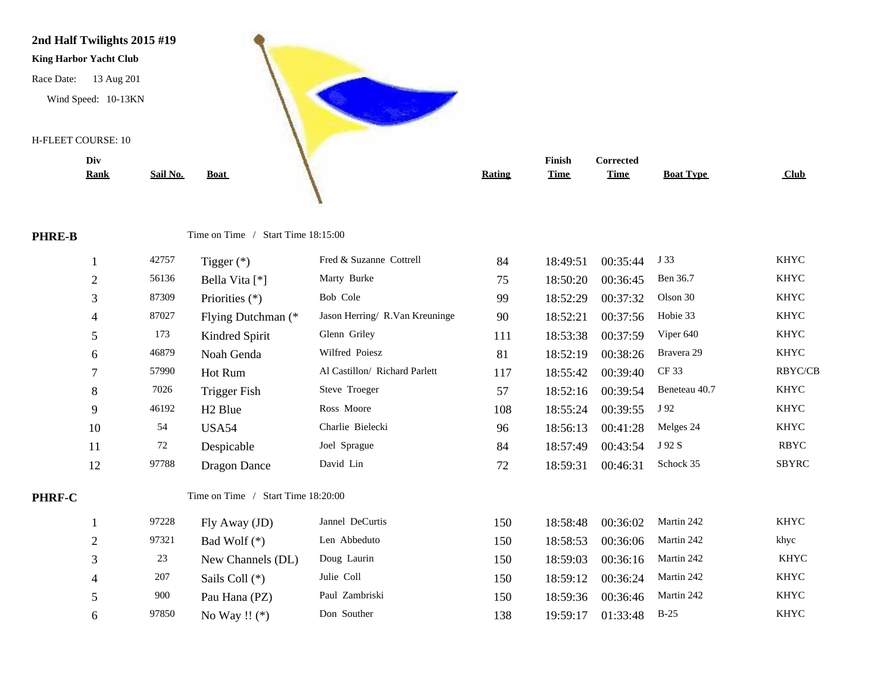

| Div            |          |                                    |                                |               | Finish      | Corrected   |                  |                |
|----------------|----------|------------------------------------|--------------------------------|---------------|-------------|-------------|------------------|----------------|
| <u>Rank</u>    | Sail No. | <b>Boat</b>                        |                                | <b>Rating</b> | <b>Time</b> | <b>Time</b> | <b>Boat Type</b> | Club           |
|                |          |                                    |                                |               |             |             |                  |                |
|                |          |                                    |                                |               |             |             |                  |                |
|                |          | Time on Time / Start Time 18:15:00 |                                |               |             |             |                  |                |
| $\mathbf{1}$   | 42757    | Tigger $(*)$                       | Fred & Suzanne Cottrell        | 84            | 18:49:51    | 00:35:44    | J 33             | <b>KHYC</b>    |
| $\overline{c}$ | 56136    | Bella Vita [*]                     | Marty Burke                    | 75            | 18:50:20    | 00:36:45    | Ben 36.7         | <b>KHYC</b>    |
| 3              | 87309    | Priorities $(*)$                   | Bob Cole                       | 99            | 18:52:29    | 00:37:32    | Olson 30         | <b>KHYC</b>    |
| $\overline{4}$ | 87027    | Flying Dutchman (*                 | Jason Herring/ R.Van Kreuninge | 90            | 18:52:21    | 00:37:56    | Hobie 33         | <b>KHYC</b>    |
| 5              | 173      | Kindred Spirit                     | Glenn Griley                   | 111           | 18:53:38    | 00:37:59    | Viper 640        | <b>KHYC</b>    |
| 6              | 46879    | Noah Genda                         | Wilfred Poiesz                 | 81            | 18:52:19    | 00:38:26    | Bravera 29       | <b>KHYC</b>    |
| 7              | 57990    | Hot Rum                            | Al Castillon/ Richard Parlett  | 117           | 18:55:42    | 00:39:40    | <b>CF33</b>      | <b>RBYC/CB</b> |
| 8              | 7026     | <b>Trigger Fish</b>                | Steve Troeger                  | 57            | 18:52:16    | 00:39:54    | Beneteau 40.7    | <b>KHYC</b>    |
| 9              | 46192    | H <sub>2</sub> Blue                | Ross Moore                     | 108           | 18:55:24    | 00:39:55    | J 92             | <b>KHYC</b>    |
| 10             | 54       | <b>USA54</b>                       | Charlie Bielecki               | 96            | 18:56:13    | 00:41:28    | Melges 24        | <b>KHYC</b>    |
| 11             | $72\,$   | Despicable                         | Joel Sprague                   | 84            | 18:57:49    | 00:43:54    | J 92 S           | <b>RBYC</b>    |
| 12             | 97788    | <b>Dragon Dance</b>                | David Lin                      | 72            | 18:59:31    | 00:46:31    | Schock 35        | <b>SBYRC</b>   |
|                |          | Time on Time / Start Time 18:20:00 |                                |               |             |             |                  |                |
|                |          |                                    |                                |               |             |             |                  |                |
| $\mathbf{1}$   | 97228    | Fly Away (JD)                      | Jannel DeCurtis                | 150           | 18:58:48    | 00:36:02    | Martin 242       | <b>KHYC</b>    |
| $\mathbf{2}$   | 97321    | Bad Wolf $(*)$                     | Len Abbeduto                   | 150           | 18:58:53    | 00:36:06    | Martin 242       | khyc           |
| 3              | 23       | New Channels (DL)                  | Doug Laurin                    | 150           | 18:59:03    | 00:36:16    | Martin 242       | <b>KHYC</b>    |
|                |          |                                    |                                |               |             |             |                  |                |

**PHRE-B** Time on Time / Start Time 18:15:00

|               |                | – <i>– – –</i> – | $I \r{H}$                          | Trea or paramic Comen          | -04 | 10.49.91 | UU.33.44 | ູ ບັນ         | 111 I C     |
|---------------|----------------|------------------|------------------------------------|--------------------------------|-----|----------|----------|---------------|-------------|
|               | $\overline{2}$ | 56136            | Bella Vita [*]                     | Marty Burke                    | 75  | 18:50:20 | 00:36:45 | Ben 36.7      | <b>KHYC</b> |
|               | 3              | 87309            | Priorities $(*)$                   | Bob Cole                       | 99  | 18:52:29 | 00:37:32 | Olson 30      | <b>KHYC</b> |
|               | 4              | 87027            | Flying Dutchman (*                 | Jason Herring/ R.Van Kreuninge | 90  | 18:52:21 | 00:37:56 | Hobie 33      | <b>KHYC</b> |
|               | 5 <sup>5</sup> | 173              | Kindred Spirit                     | Glenn Griley                   | 111 | 18:53:38 | 00:37:59 | Viper 640     | <b>KHYC</b> |
|               | 6              | 46879            | Noah Genda                         | Wilfred Poiesz                 | 81  | 18:52:19 | 00:38:26 | Bravera 29    | <b>KHYC</b> |
|               |                | 57990            | Hot Rum                            | Al Castillon/ Richard Parlett  | 117 | 18:55:42 | 00:39:40 | CF 33         | RBYC/CB     |
|               | 8              | 7026             | <b>Trigger Fish</b>                | Steve Troeger                  | 57  | 18:52:16 | 00:39:54 | Beneteau 40.7 | <b>KHYC</b> |
|               | 9              | 46192            | H <sub>2</sub> Blue                | Ross Moore                     | 108 | 18:55:24 | 00:39:55 | J 92          | <b>KHYC</b> |
|               | 10             | 54               | USA54                              | Charlie Bielecki               | 96  | 18:56:13 | 00:41:28 | Melges 24     | <b>KHYC</b> |
|               | 11             | 72               | Despicable                         | Joel Sprague                   | 84  | 18:57:49 | 00:43:54 | J 92 S        | <b>RBYC</b> |
|               | 12             | 97788            | <b>Dragon Dance</b>                | David Lin                      | 72  | 18:59:31 | 00:46:31 | Schock 35     | SBYRC       |
| <b>PHRF-C</b> |                |                  | Time on Time / Start Time 18:20:00 |                                |     |          |          |               |             |
|               |                | 97228            | Fly Away (JD)                      | Jannel DeCurtis                | 150 | 18:58:48 | 00:36:02 | Martin 242    | <b>KHYC</b> |
|               | $\mathbf{2}$   | 97321            | Bad Wolf $(*)$                     | Len Abbeduto                   | 150 | 18:58:53 | 00:36:06 | Martin 242    | khyc        |
|               | 3              | 23               | New Channels (DL)                  | Doug Laurin                    | 150 | 18:59:03 | 00:36:16 | Martin 242    | <b>KHYC</b> |
|               | 4              | 207              | Sails Coll $(*)$                   | Julie Coll                     | 150 | 18:59:12 | 00:36:24 | Martin 242    | <b>KHYC</b> |
|               | 5              | 900              | Pau Hana (PZ)                      | Paul Zambriski                 | 150 | 18:59:36 | 00:36:46 | Martin 242    | <b>KHYC</b> |
|               | 6              | 97850            | No Way !! $(*)$                    | Don Souther                    | 138 | 19:59:17 | 01:33:48 | $B-25$        | KHYC        |